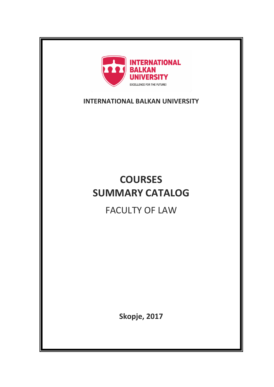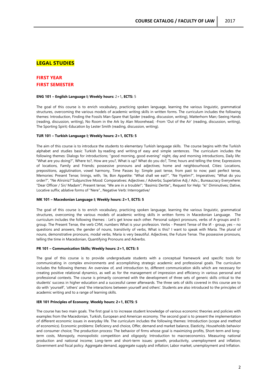# **LEGAL STUDIES**

# **FIRST YEAR FIRST SEMESTER**

#### **ENG 101 – English Language I; Weekly hours:** 2+1**, ECTS:** 5

The goal of this course is to enrich vocabulary, practicing spoken language, learning the various linguistic, grammatical structures, overcoming the various models of academic writing skills in written forms. The curriculum includes the following themes: Introduction, Finding the Fossils Man-Spare that Spider (reading, discussion, writing), Matterhorn Man;-Seeing Hands (reading, discussion, writing), No Room in the Ark by Alan Moorehead; -From 'Out of the Air' (reading, discussion, writing), The Sporting Spirit;-Education by Lester Smith (reading, discussion, writing).

# **TUR 101 – Turkish Language I; Weekly hours: 2+1, ECTS: 5**

The aim of this course is to introduce the students to elementary Turkish language skills. The course begins with the Turkish alphabet and studies basic Turkish by reading and writing of easy and simple sentences. The curriculum includes the following themes: Dialogs for introductions; "good morning, good evening" night, day and morning introductions, Daily life: "What are you doing?", Where to?, How are you?, What is up? What do you do?, Time; hours and telling the time; Expressions of locations, Family and Friends; possessive pronouns and adjectives; home and neighbourhood, Cities: Locations, prepositions, agglutination, vowel harmony, Time Passes by: Simple past tense, from past to now; past perfect tense, Memories: Present Tense; linings, with, 'ile, Bon Appetite: "What shall we eat?", "Ne Yiyelim?", Imperatives; "What do you order?", "Ne Alirsiniz?"Subjunctive Mood: Comparatives: Adjectives / Adverbs; Superlative Adj / Adv.;, Bureaucracy Everywhere: "Dear Officer / Sir/ Madam"; Present tense; "We are in a trouble!"; "Basimiz Dertte";, Request for Help: "ki" Diminutives; Dative, Locative suffix; ablative forms of "Nere"., Negative Verb: Interrogative/

### **MK 101 – Macedonian Language I; Weekly hours: 2+1, ECTS: 5**

The goal of this course is to enrich vocabulary, practicing spoken language, learning the various linguistic, grammatical structures, overcoming the various models of academic writing skills in written forms in Macedonian Language. The curriculum includes the following themes: : Let's get know each other. Personal subject pronouns, verbs of A-groups and Egroup. The Present Tense, the verb СУМ, numbers What is your profession. Verbs - Present Tense of the И - group, yes – no questions and answers, the gender of nouns, transitivity of verbs, What is this? I want to speak with Maria. The plural of nouns, demonstrative pronouns, modal verbs, Maria is very beautiful. Adjectives, the Future Tense. The possessive pronouns, telling the time in Macedonian, Quantifying Pronouns and Adverbs.

### **PR 101 – Communication Skills; Weekly hours: 2+1, ECTS: 5**

The goal of this course is to provide undergraduate students with a conceptual framework and specific tools for communicating in complex environments and accomplishing strategic academic and professional goals. The curriculum includes the following themes: An overview of, and introduction to, different communication skills which are necessary for creating positive relational dynamics, as well as for the management of impression and efficiency in various personal and professional contexts. The course is primarily concerned with the development of three sets of generic skills critical to the students' success in higher education and a successful career afterwards. The three sets of skills covered in this course are to do with 'yourself', 'others' and 'the interactions between yourself and others'. Students are also introduced to the principles of academic writing and to a range of learning skills.

# **IER 101 Principles of Economy**, **Weekly hours: 2+1, ECTS: 5**

The course has two main goals. The first goal is to increase student knowledge of various economic theories and policies with examples from the Macedonian, Turkish, European and American economy. The second goal is to present the implementation of different economic issues in everyday life. The curriculum includes the following themes: Introduction (scope and method of economics). Economic problems: Deficiency and choice, Offer, demand and market balance, Elasticity, Households behavior and consumer choice; The production process: The behavior of firms whose goal is maximizing profits, Short-term and longterm costs, Monopoly, monopolistic competition and oligopoly; Introduction to macroeconomics. Measuring national production and national income; Long-term and short-term issues: growth, productivity, unemployment and inflation; Government and fiscal policy. Aggregate demand, aggregate supply and inflation; Labor market, unemployment and Inflation.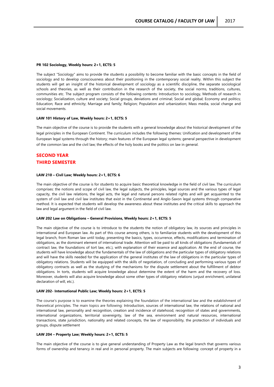#### **PR 102 Sociology, Weekly hours: 2+1, ECTS: 5**

The subject "Sociology" aims to provide the students a possibility to become familiar with the basic concepts in the field of sociology and to develop consciousness about their positioning in the contemporary social reality. Within this subject the students will get an insight of the historical development of sociology as a scientific discipline, the separate sociological schools and theories, as well as their contribution in the research of the society, the social norms, traditions, cultures, communities etc. The subject program consists of the following contents: Introduction to sociology, Methods of research in sociology; Socialization, culture and society; Social groups, deviations and criminal; Social and global; Economy and politics; Education; Race and ethnicity; Marriage and family; Religion; Population and urbanization; Mass media, social change and social movements.

# **LAW 101 History of Law, Weekly hours: 2+1, ECTS: 5**

The main objective of the course is to provide the students with a general knowledge about the historical development of the legal principles in the European Continent. The curriculum includes the following themes: Unification and development of the European legal systems through the history; main features of the European legal systems; general perspective in development of the common law and the civil law; the effects of the holy books and the politics on law in general.

# **SECOND YEAR THIRD SEMESTER**

# **LAW 210 – Civil Law; Weekly hours: 2+1, ECTS: 6**

The main objective of the course is for students to acquire basic theoretical knowledge in the field of civil law. The curriculum comprises: the notions and scope of civil law, the legal subjects, the principles, legal sources and the various types of legal capacity, the civil law relations, the legal acts, the legal and natural persons related rights and will get acquainted to the system of civil law and civil law institutes that exist in the Continental and Anglo-Saxon legal systems through comparative method. It is expected that students will develop the awareness about these institutes and the critical skills to approach the law and legal argument in the field of civil law.

# **LAW 202 Law on Obligations – General Provisions, Weekly hours: 2+1, ECTS: 5**

The main objective of the course is to introduce to the students the notion of obligatory law, its sources and principles in international and European law. As part of this course among others, is to familiarize students with the development of this legal branch, from Roman law until today, presenting the basics, types, occurrence, effects, modifications and termination of obligations, as the dominant element of international trade. Attention will be paid to all kinds of obligations (fundamentals of contract law, the foundations of tort law, etc.), with explanation of their essence and application. At the end of course, the students will have knowledge about the fundamentals of the law of obligations and the particular types of obligatory relations and will have the skills needed for the application of the general institutes of the law of obligations in the particular types of obligatory relations. Students will be equipped with the skills of negotiation, of concluding and performing various types of obligatory contracts as well as the studying of the mechanisms for the dispute settlement about the fulfillment of debtor obligations. In torts, students will acquire knowledge about determine the extent of the harm and the recovery of loss. Moreover, students will also acquire knowledge about some other types of obligatory relations (unjust enrichment, unilateral declaration of will, etc.).

#### **LAW 202- International Public Law; Weekly hours: 2+1, ECTS: 5**

The course's purpose is to examine the theories explaining the foundation of the international law and the establishment of theoretical principles. The main topics are following: Introduction, sources of international law, the relations of national and international law, personality and recognition, creation and incidence of statehood, recognition of states and governments, international organizations, territorial sovereignty, law of the sea, environment and natural resources, international transactions, state jurisdiction, nationality and related concepts, the law of responsibility, the protection of individuals and groups, dispute settlement

#### **LAW 204 – Property Law; Weekly hours: 2+1, ECTS: 5**

The main objective of the course is to give general understanding of Property Law as the legal branch that governs various forms of ownership and tenancy in real and in personal property. The main subjects are following: concept of property in a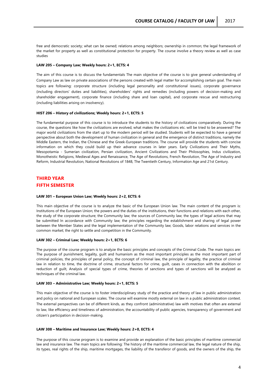free and democratic society; what can be owned; relations among neighbors; ownership in common; the legal framework of the market for property as well as constitutional protection for property. The course involve a theory review as well as case studies

#### **LAW 205 – Company Law; Weekly hours: 2+1, ECTS: 4**

The aim of this course is to discuss the fundamentals The main objective of the course is to give general understanding of Company Law as law on private associations of the persons created with legal matter for accomplishing certain goal. The main topics are following: corporate structure (including legal personality and constitutional issues), corporate governance (including directors' duties and liabilities), shareholders' rights and remedies (including powers of decision-making and shareholder engagement), corporate finance (including share and loan capital), and corporate rescue and restructuring (including liabilities arising on insolvency).

#### **HIST 206 – History of civilizations; Weekly hours: 2+1, ECTS: 5**

The fundamental purpose of this course is to introduce the students to the history of civilizations comparatively. During the course, the questions like how the civilizations are evolved, what makes the civilizations etc. will be tried to be answered? The major world civilizations from the start up to the modern period will be studied. Students will be expected to have a general perspective about both the development of human civilization in general and the emergence of distinct traditions, namely the Middle Eastern, the Indian, the Chinese and the Greek-European traditions. The course will provide the students with concise information on which they could build up their advance courses in later years. Early Civilizations and Their Myths, Mesopotamia - Sumerian civilization, Persian civilization, Ancient Civilizations and Their Philosophies, Indus civilization, Monotheistic Religions, Medieval Ages and Renaissance, The Age of Revolutions, French Revolution, The Age of Industry and Reform, Industrial Revolution, National Revolutions of 1848, The Twentieth Century, Information Age and 21st Century.

# **THIRD YEAR FIFTH SEMESTER**

### **LAW 301 – European Union Law; Weekly hours: 2+2, ECTS: 6**

This main objective of the course is to analyze the basic of the European Union law. The main content of the program is: Institutions of the European Union; the powers and the duties of the institutions, their functions and relations with each other, the study of the corporate structure; the Community law; the sources of Community law; the types of legal actions that may be submitted In accordance with Community law; the principles regarding the establishment and sharing of legal power between the Member States and the legal implementation of the Community law; Goods, labor relations and services in the common market; the right to settle and competition in the Community.

# **LAW 302 – Criminal Law; Weekly hours: 2+1, ECTS: 6**

The purpose of the course program is to analyze the basic principles and concepts of the Criminal Code. The main topics are: The purpose of punishment, legality, guilt and humanism as the most important principles as the most important part of criminal policies, the principles of penal policy, the concept of criminal law, the principle of legality, the practice of criminal law in relation to time, the doctrine of crime, structural factors for crime, guilt, cases in connection with the abolition or reduction of guilt, Analysis of special types of crime, theories of sanctions and types of sanctions will be analyzed as techniques of the criminal law.

# **LAW 303 – Administrative Law; Weekly hours: 2+1, ECTS: 5**

This main objective of the course is to foster interdisciplinary study of the practice and theory of law in public administration and policy on national and European scales. The course will examine mostly external on law in a public administration context. The external perspectives can be of different kinds, as they confront (administrative) law with motives that often are external to law, like efficiency and timeliness of administration, the accountability of public agencies, transparency of government and citizen's participation in decision-making.

# **LAW 308 – Maritime and Insurance Law; Weekly hours: 2+0, ECTS: 4**

The purpose of this course program is to examine and provide an explanation of the basic principles of maritime commercial law and insurance law. The main topics are following: The history of the maritime commercial law, the legal nature of the ship, its types, real rights of the ship, maritime mortgages, the liability of the transferor of goods, and the owners of the ship, the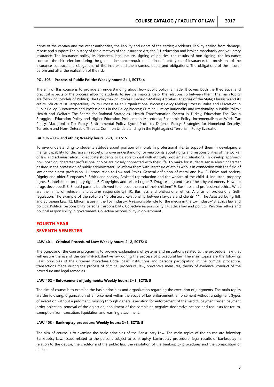rights of the captain and the other authorities, the liability and rights of the carrier; Accidents, liability arising from damage, rescue and support; The history of the directives of the Insurance Act, the EU, education and broker, mandatory and voluntary insurance; The insurance policy, its elements, legal nature, signing of policies, the results of non-signing, the insurance contract, the risk selection during the general insurance requirements in different types of insurance, the provisions of the insurance contract, the obligations of the insurer and the insureds, debts and obligations; The obligations of the insurer before and after the realization of the risk.

# **POL 303 – Process of Public Politic; Weekly hours: 2+1, ECTS: 4**

The aim of this course is to provide an understanding about how public policy is made. It covers both the theoretical and practical aspects of the process, allowing students to see the importance of the relationship between them. The main topics are following: Models of Politics; The Policymaking Process: Decision-Making Activities; Theories of the State; Pluralism and its critics; Structuralist Perspectives; Policy Process as an Organizational Process; Policy Making Process; Rules and Discretion in Public Policy; Bureaucrats and Professionals in the Policy Process; Criminal Justice: Rationality and Irrationality in Public Policy.; Health and Welfare: The Search for Rational Strategies.; Health Transformation System in Turkey; Education: The Group Struggle. ; Education Policy and Higher Education Problems in Macedonia; Economic Policy: Incrementalism at Work; Tax Policy: Macedonian Tax Policy; Environmental Policy: Kyoto Protocol; Defense Policy: Strategies for Homeland Security; Terrorism and Non- Deterable Threats.; Common Understanding in the Fight against Terrorism; Policy Evaluation

### **BA 306 – Law and ethics; Weekly hours: 2+1, ECTS: 5**

To give understanding to students attitude about position of morals in professional life; to support them in developing a mental capability for decisions in society. To give understanding for viewpoints about rights and responsibilities of the worker of law and administration. To educate students to be able to deal with ethically problematic situations. To develop approach how position, character professional choice are closely connected with their life. To make for students sense about character desired in the profession of public administrator. To inform them with literature of ethics who is in connection with the field of law or their next profession. 1. Introduction to Law and Ethics. General definition of moral and law. 2. Ethics and society, Dignity and older Europeans.3. Ethics and society, Assisted reproduction and the welfare of the child. 4. Industrial property rights. 5. Intellectual property rights. 6. Copyrights and related rights.7. Drug testing and use of healthy volunteers. How are drugs developed? 8. Should parents be allowed to choose the sex of their children? 9. Business and professional ethics. What are the limits of vehicle manufacturer responsibility? 10. Business and professional ethics. A crisis of professional Selfregulation: The example of the solicitors" profession. Relationship between lawyers and clients. 11. The Assisted Dying Bill, and European Law. 12. Ethical Issues in the Toy Industry. A responsible role for the media in the toy industry13. Ethics law and politics. Political responsibility personal responsibility, Collective responsibility 14. Ethics law and politics, Personal ethics and political responsibility in government. Collective responsibility in government.

# **FOURTH YEAR SEVENTH SEMESTER**

#### **LAW 401 – Criminal Procedural Law; Weekly hours: 2+2, ECTS: 6**

The purpose of the course program is to provide explanations of systems and institutions related to the procedural law that will ensure the use of the criminal-substantive law during the process of procedural law. The main topics are the folowing: Basic principles of the Criminal Procedure Code, basic institutions and persons participating in the criminal procedure, transactions made during the process of criminal procedural law, preventive measures, theory of evidence, conduct of the procedure and legal remedies.

#### **LAW 402 – Enforcement of judgments; Weekly hours: 2+1, ECTS: 5**

The aim of course is to examine the basic principles and organization regarding the execution of judgments. The main topics are the folowing: organization of enforcement within the scope of law enforcement; enforcement without a judgment (types of execution without a judgment; moving through general execution for enforcement of the verdict, payment order, payment order objection, removal of the objection, annulment of the complaint, negative declarative actions and requests for return, exemption from execution, liquidation and warning attachment.

### **LAW 403 - Bankruptcy procedure; Weekly hours: 2+1, ECTS: 5**

The aim of course is to examine the basic principles of the Bankruptcy Law. The main topics of the course are folowing: Bankruptcy Law, issues related to the persons subject to bankruptcy, bankruptcy procedure, legal results of bankruptcy in relation to the debtor, the creditor and the public law, the resolution of the bankruptcy procedures and the composition of debts.